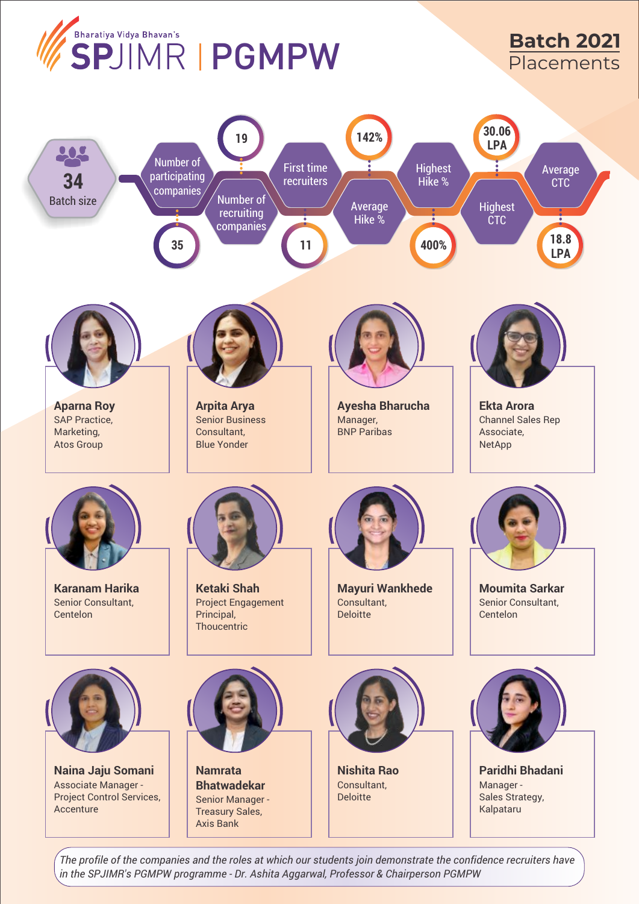

*The profile of the companies and the roles at which our students join demonstrate the confidence recruiters have in the SPJIMR's PGMPW programme - Dr. Ashita Aggarwal, Professor & Chairperson PGMPW*